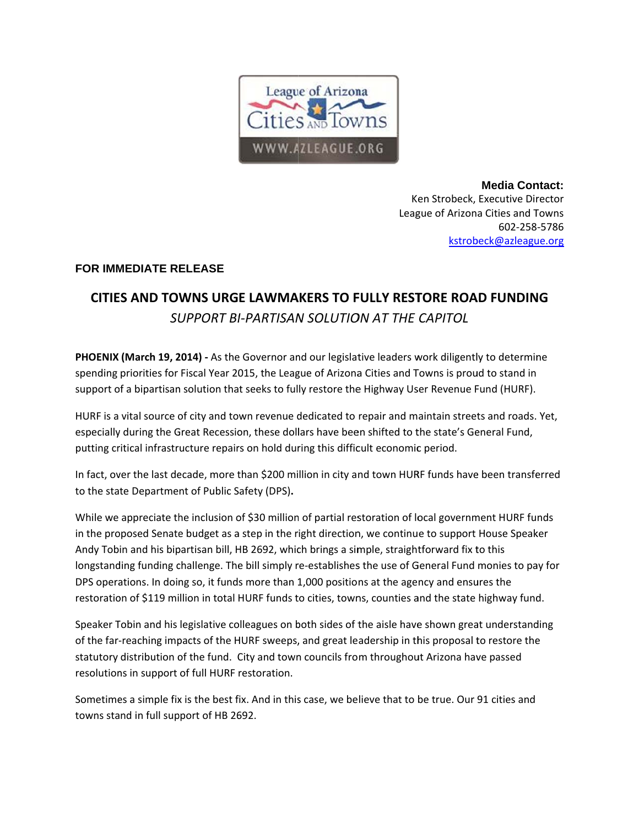

**Media Contact:** Ken Strobeck, Executive Director League of Arizona Cities and Towns 602-258-5786 kstrobeck@azleague.org

## **FOR IMMEDIATE RELEASE**

## CITIES AND TOWNS URGE LAWMAKERS TO FULLY RESTORE ROAD FUNDING SUPPORT BI-PARTISAN SOLUTION AT THE CAPITOL

PHOENIX (March 19, 2014) - As the Governor and our legislative leaders work diligently to determine spending priorities for Fiscal Year 2015, the League of Arizona Cities and Towns is proud to stand in support of a bipartisan solution that seeks to fully restore the Highway User Revenue Fund (HURF).

HURF is a vital source of city and town revenue dedicated to repair and maintain streets and roads. Yet, especially during the Great Recession, these dollars have been shifted to the state's General Fund, putting critical infrastructure repairs on hold during this difficult economic period.

In fact, over the last decade, more than \$200 million in city and town HURF funds have been transferred to the state Department of Public Safety (DPS).

While we appreciate the inclusion of \$30 million of partial restoration of local government HURF funds in the proposed Senate budget as a step in the right direction, we continue to support House Speaker Andy Tobin and his bipartisan bill, HB 2692, which brings a simple, straightforward fix to this longstanding funding challenge. The bill simply re-establishes the use of General Fund monies to pay for DPS operations. In doing so, it funds more than 1,000 positions at the agency and ensures the restoration of \$119 million in total HURF funds to cities, towns, counties and the state highway fund.

Speaker Tobin and his legislative colleagues on both sides of the aisle have shown great understanding of the far-reaching impacts of the HURF sweeps, and great leadership in this proposal to restore the statutory distribution of the fund. City and town councils from throughout Arizona have passed resolutions in support of full HURF restoration.

Sometimes a simple fix is the best fix. And in this case, we believe that to be true. Our 91 cities and towns stand in full support of HB 2692.